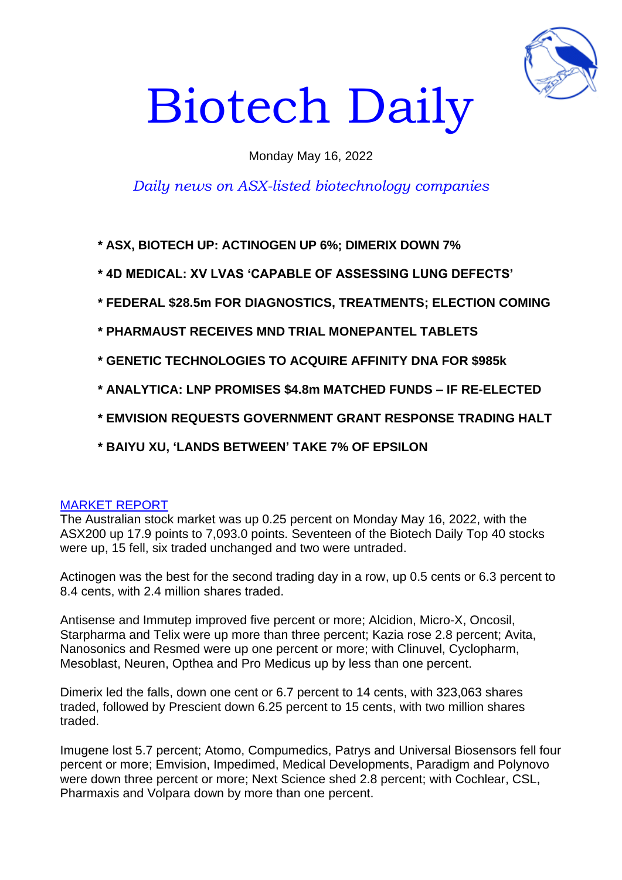

# Biotech Daily

# Monday May 16, 2022

# *Daily news on ASX-listed biotechnology companies*

**\* ASX, BIOTECH UP: ACTINOGEN UP 6%; DIMERIX DOWN 7%**

- **\* 4D MEDICAL: XV LVAS 'CAPABLE OF ASSESSING LUNG DEFECTS'**
- **\* FEDERAL \$28.5m FOR DIAGNOSTICS, TREATMENTS; ELECTION COMING**
- **\* PHARMAUST RECEIVES MND TRIAL MONEPANTEL TABLETS**
- **\* GENETIC TECHNOLOGIES TO ACQUIRE AFFINITY DNA FOR \$985k**
- **\* ANALYTICA: LNP PROMISES \$4.8m MATCHED FUNDS – IF RE-ELECTED**
- **\* EMVISION REQUESTS GOVERNMENT GRANT RESPONSE TRADING HALT**
- **\* BAIYU XU, 'LANDS BETWEEN' TAKE 7% OF EPSILON**

#### MARKET REPORT

The Australian stock market was up 0.25 percent on Monday May 16, 2022, with the ASX200 up 17.9 points to 7,093.0 points. Seventeen of the Biotech Daily Top 40 stocks were up, 15 fell, six traded unchanged and two were untraded.

Actinogen was the best for the second trading day in a row, up 0.5 cents or 6.3 percent to 8.4 cents, with 2.4 million shares traded.

Antisense and Immutep improved five percent or more; Alcidion, Micro-X, Oncosil, Starpharma and Telix were up more than three percent; Kazia rose 2.8 percent; Avita, Nanosonics and Resmed were up one percent or more; with Clinuvel, Cyclopharm, Mesoblast, Neuren, Opthea and Pro Medicus up by less than one percent.

Dimerix led the falls, down one cent or 6.7 percent to 14 cents, with 323,063 shares traded, followed by Prescient down 6.25 percent to 15 cents, with two million shares traded.

Imugene lost 5.7 percent; Atomo, Compumedics, Patrys and Universal Biosensors fell four percent or more; Emvision, Impedimed, Medical Developments, Paradigm and Polynovo were down three percent or more; Next Science shed 2.8 percent; with Cochlear, CSL, Pharmaxis and Volpara down by more than one percent.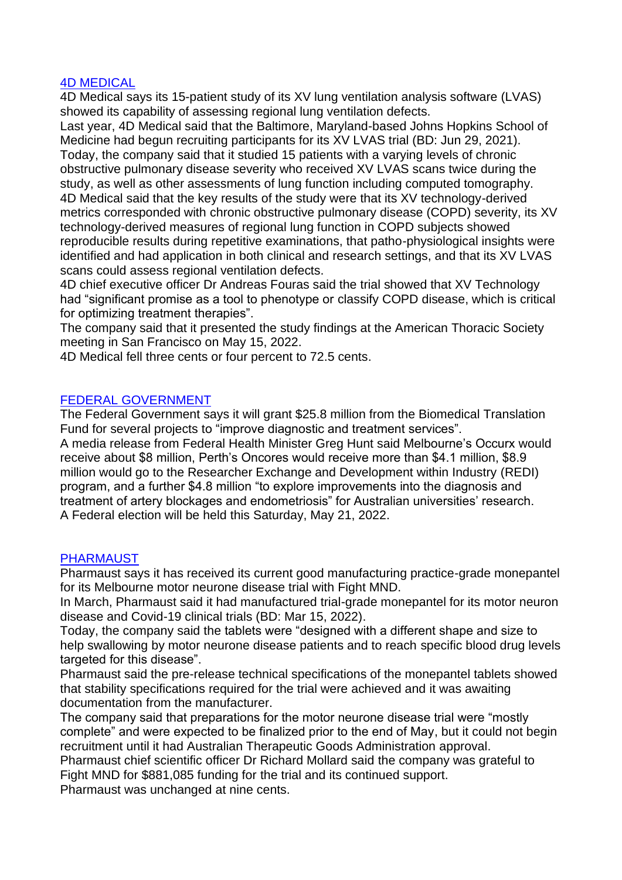## 4D MEDICAL

4D Medical says its 15-patient study of its XV lung ventilation analysis software (LVAS) showed its capability of assessing regional lung ventilation defects.

Last year, 4D Medical said that the Baltimore, Maryland-based Johns Hopkins School of Medicine had begun recruiting participants for its XV LVAS trial (BD: Jun 29, 2021). Today, the company said that it studied 15 patients with a varying levels of chronic obstructive pulmonary disease severity who received XV LVAS scans twice during the study, as well as other assessments of lung function including computed tomography. 4D Medical said that the key results of the study were that its XV technology-derived metrics corresponded with chronic obstructive pulmonary disease (COPD) severity, its XV technology-derived measures of regional lung function in COPD subjects showed reproducible results during repetitive examinations, that patho-physiological insights were identified and had application in both clinical and research settings, and that its XV LVAS scans could assess regional ventilation defects.

4D chief executive officer Dr Andreas Fouras said the trial showed that XV Technology had "significant promise as a tool to phenotype or classify COPD disease, which is critical for optimizing treatment therapies".

The company said that it presented the study findings at the American Thoracic Society meeting in San Francisco on May 15, 2022.

4D Medical fell three cents or four percent to 72.5 cents.

#### FEDERAL GOVERNMENT

The Federal Government says it will grant \$25.8 million from the Biomedical Translation Fund for several projects to "improve diagnostic and treatment services".

A media release from Federal Health Minister Greg Hunt said Melbourne's Occurx would receive about \$8 million, Perth's Oncores would receive more than \$4.1 million, \$8.9 million would go to the Researcher Exchange and Development within Industry (REDI) program, and a further \$4.8 million "to explore improvements into the diagnosis and treatment of artery blockages and endometriosis" for Australian universities' research. A Federal election will be held this Saturday, May 21, 2022.

#### PHARMAUST

Pharmaust says it has received its current good manufacturing practice-grade monepantel for its Melbourne motor neurone disease trial with Fight MND.

In March, Pharmaust said it had manufactured trial-grade monepantel for its motor neuron disease and Covid-19 clinical trials (BD: Mar 15, 2022).

Today, the company said the tablets were "designed with a different shape and size to help swallowing by motor neurone disease patients and to reach specific blood drug levels targeted for this disease".

Pharmaust said the pre-release technical specifications of the monepantel tablets showed that stability specifications required for the trial were achieved and it was awaiting documentation from the manufacturer.

The company said that preparations for the motor neurone disease trial were "mostly complete" and were expected to be finalized prior to the end of May, but it could not begin recruitment until it had Australian Therapeutic Goods Administration approval.

Pharmaust chief scientific officer Dr Richard Mollard said the company was grateful to Fight MND for \$881,085 funding for the trial and its continued support.

Pharmaust was unchanged at nine cents.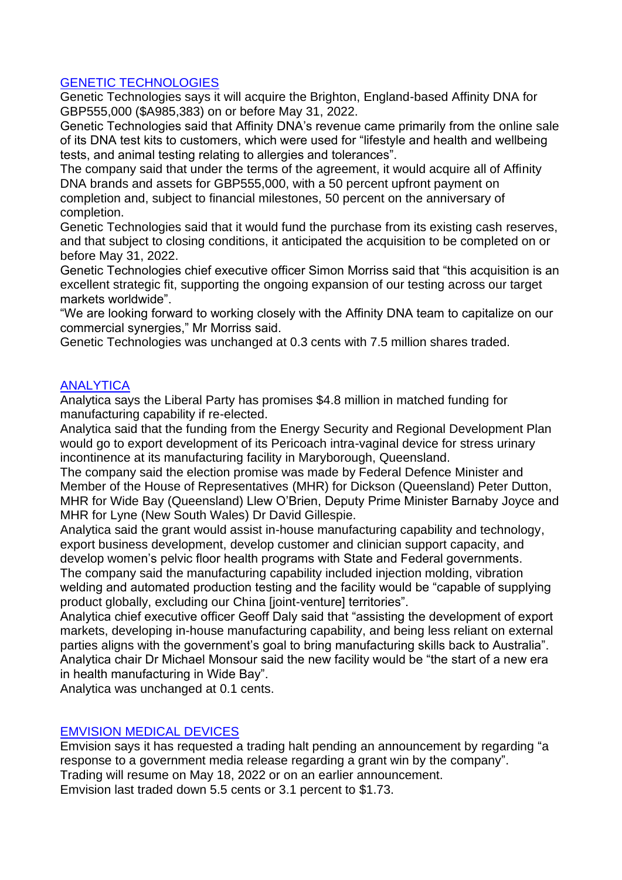# GENETIC TECHNOLOGIES

Genetic Technologies says it will acquire the Brighton, England-based Affinity DNA for GBP555,000 (\$A985,383) on or before May 31, 2022.

Genetic Technologies said that Affinity DNA's revenue came primarily from the online sale of its DNA test kits to customers, which were used for "lifestyle and health and wellbeing tests, and animal testing relating to allergies and tolerances".

The company said that under the terms of the agreement, it would acquire all of Affinity DNA brands and assets for GBP555,000, with a 50 percent upfront payment on completion and, subject to financial milestones, 50 percent on the anniversary of completion.

Genetic Technologies said that it would fund the purchase from its existing cash reserves, and that subject to closing conditions, it anticipated the acquisition to be completed on or before May 31, 2022.

Genetic Technologies chief executive officer Simon Morriss said that "this acquisition is an excellent strategic fit, supporting the ongoing expansion of our testing across our target markets worldwide".

"We are looking forward to working closely with the Affinity DNA team to capitalize on our commercial synergies," Mr Morriss said.

Genetic Technologies was unchanged at 0.3 cents with 7.5 million shares traded.

# **ANALYTICA**

Analytica says the Liberal Party has promises \$4.8 million in matched funding for manufacturing capability if re-elected.

Analytica said that the funding from the Energy Security and Regional Development Plan would go to export development of its Pericoach intra-vaginal device for stress urinary incontinence at its manufacturing facility in Maryborough, Queensland.

The company said the election promise was made by Federal Defence Minister and Member of the House of Representatives (MHR) for Dickson (Queensland) Peter Dutton, MHR for Wide Bay (Queensland) Llew O'Brien, Deputy Prime Minister Barnaby Joyce and MHR for Lyne (New South Wales) Dr David Gillespie.

Analytica said the grant would assist in-house manufacturing capability and technology, export business development, develop customer and clinician support capacity, and develop women's pelvic floor health programs with State and Federal governments.

The company said the manufacturing capability included injection molding, vibration welding and automated production testing and the facility would be "capable of supplying product globally, excluding our China [joint-venture] territories".

Analytica chief executive officer Geoff Daly said that "assisting the development of export markets, developing in-house manufacturing capability, and being less reliant on external parties aligns with the government's goal to bring manufacturing skills back to Australia". Analytica chair Dr Michael Monsour said the new facility would be "the start of a new era in health manufacturing in Wide Bay".

Analytica was unchanged at 0.1 cents.

#### EMVISION MEDICAL DEVICES

Emvision says it has requested a trading halt pending an announcement by regarding "a response to a government media release regarding a grant win by the company". Trading will resume on May 18, 2022 or on an earlier announcement. Emvision last traded down 5.5 cents or 3.1 percent to \$1.73.